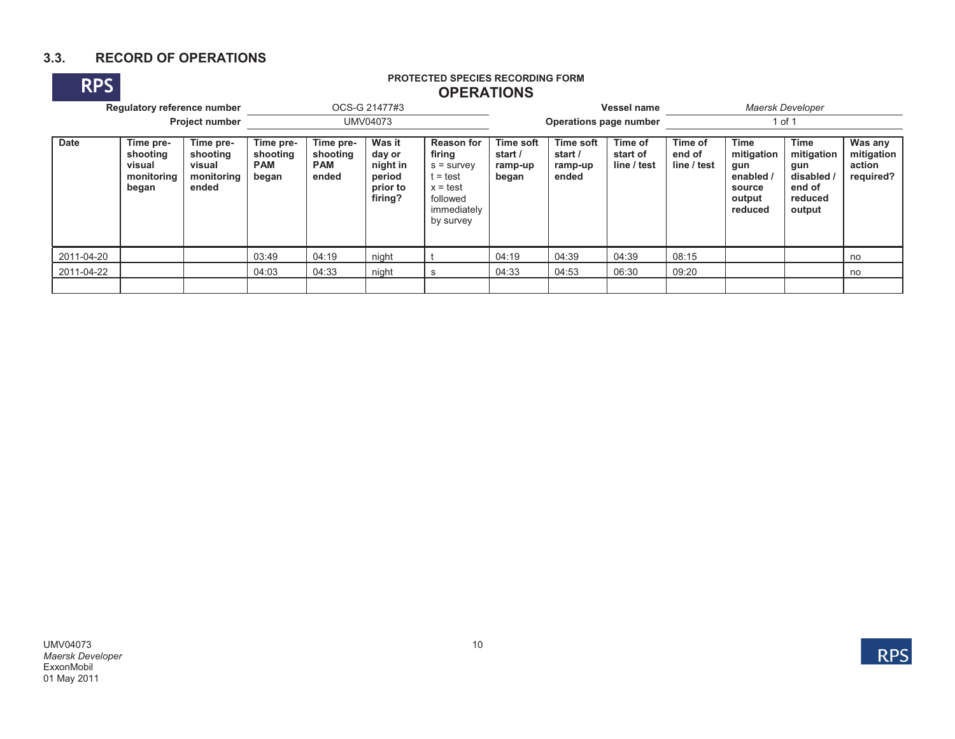## **3.3. RECORD OF OPERATIONS**

# **RPS PROTECTED SPECIES RECORDING FORM OPERATIONS**

|             | Regulatory reference number<br><b>Project number</b>   |                                                        |                                              |                                                                                                                           | OCS-G 21477#3 |                                                                                                                 |                                          | Operations page number                                                                | Vessel name | Maersk Developer<br>1 of 1                                                                                |  |                                                                        |                                              |  |
|-------------|--------------------------------------------------------|--------------------------------------------------------|----------------------------------------------|---------------------------------------------------------------------------------------------------------------------------|---------------|-----------------------------------------------------------------------------------------------------------------|------------------------------------------|---------------------------------------------------------------------------------------|-------------|-----------------------------------------------------------------------------------------------------------|--|------------------------------------------------------------------------|----------------------------------------------|--|
| <b>Date</b> | Time pre-<br>shooting<br>visual<br>monitoring<br>began | Time pre-<br>shooting<br>visual<br>monitoring<br>ended | Time pre-<br>shooting<br><b>PAM</b><br>began | UMV04073<br>Was it<br>Time pre-<br>shooting<br>day or<br><b>PAM</b><br>night in<br>ended<br>period<br>prior to<br>firing? |               | <b>Reason for</b><br>firing<br>$s =$ survey<br>$t = test$<br>$x = test$<br>followed<br>immediately<br>by survey | Time soft<br>start /<br>ramp-up<br>began | Time of<br><b>Time soft</b><br>start /<br>start of<br>line / test<br>ramp-up<br>ended |             | Time<br>Time of<br>mitigation<br>end of<br>line / test<br>gun<br>enabled /<br>source<br>output<br>reduced |  | Time<br>mitigation<br>gun<br>disabled /<br>end of<br>reduced<br>output | Was any<br>mitigation<br>action<br>required? |  |
| 2011-04-20  |                                                        |                                                        | 03:49                                        | 04:19                                                                                                                     | night         |                                                                                                                 | 04:19                                    | 04:39                                                                                 | 04:39       | 08:15                                                                                                     |  |                                                                        | no                                           |  |
| 2011-04-22  |                                                        |                                                        | 04:03                                        | 04:33                                                                                                                     | night         | s                                                                                                               | 04:33                                    | 04:53                                                                                 | 06:30       | 09:20                                                                                                     |  |                                                                        | no                                           |  |